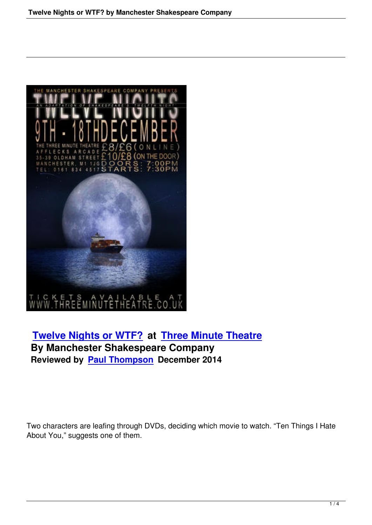

## **Twelve Nights or WTF? at Three Minute Theatre By Manchester Shakespeare Company [Reviewed by Paul Thompso](twelve-nights-or-wtf-by-manchester-shakespeare-company.html)n [December 2014](http://www.threeminutetheatre.co.uk)**

Two characters are leafing through DVDs, deciding which movie to watch. "Ten Things I Hate About You," suggests one of them.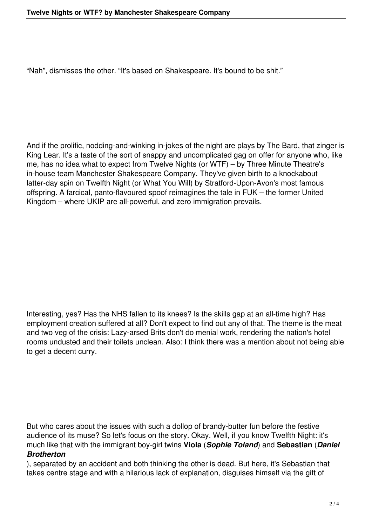"Nah", dismisses the other. "It's based on Shakespeare. It's bound to be shit."

And if the prolific, nodding-and-winking in-jokes of the night are plays by The Bard, that zinger is King Lear. It's a taste of the sort of snappy and uncomplicated gag on offer for anyone who, like me, has no idea what to expect from Twelve Nights (or WTF) – by Three Minute Theatre's in-house team Manchester Shakespeare Company. They've given birth to a knockabout latter-day spin on Twelfth Night (or What You Will) by Stratford-Upon-Avon's most famous offspring. A farcical, panto-flavoured spoof reimagines the tale in FUK – the former United Kingdom – where UKIP are all-powerful, and zero immigration prevails.

Interesting, yes? Has the NHS fallen to its knees? Is the skills gap at an all-time high? Has employment creation suffered at all? Don't expect to find out any of that. The theme is the meat and two veg of the crisis: Lazy-arsed Brits don't do menial work, rendering the nation's hotel rooms undusted and their toilets unclean. Also: I think there was a mention about not being able to get a decent curry.

But who cares about the issues with such a dollop of brandy-butter fun before the festive audience of its muse? So let's focus on the story. Okay. Well, if you know Twelfth Night: it's much like that with the immigrant boy-girl twins **Viola** (*Sophie Toland*) and **Sebastian** (*Daniel Brotherton*

), separated by an accident and both thinking the other is dead. But here, it's Sebastian that takes centre stage and with a hilarious lack of explanation, disguises himself via the gift of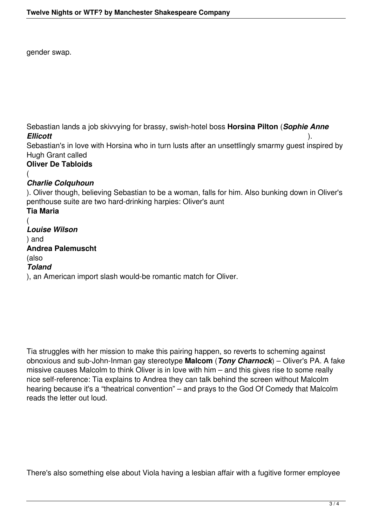gender swap.

Sebastian lands a job skivvying for brassy, swish-hotel boss **Horsina Pilton** (*Sophie Anne Ellicott* ).

Sebastian's in love with Horsina who in turn lusts after an unsettlingly smarmy guest inspired by Hugh Grant called

## **Oliver De Tabloids**

(

## *Charlie Colquhoun*

). Oliver though, believing Sebastian to be a woman, falls for him. Also bunking down in Oliver's penthouse suite are two hard-drinking harpies: Oliver's aunt **Tia Maria**

( *Louise Wilson* ) and **Andrea Palemuscht** (also *Toland* ), an American import slash would-be romantic match for Oliver.

Tia struggles with her mission to make this pairing happen, so reverts to scheming against obnoxious and sub-John-Inman gay stereotype **Malcom** (*Tony Charnock*) – Oliver's PA. A fake missive causes Malcolm to think Oliver is in love with him – and this gives rise to some really nice self-reference: Tia explains to Andrea they can talk behind the screen without Malcolm hearing because it's a "theatrical convention" – and prays to the God Of Comedy that Malcolm reads the letter out loud.

There's also something else about Viola having a lesbian affair with a fugitive former employee